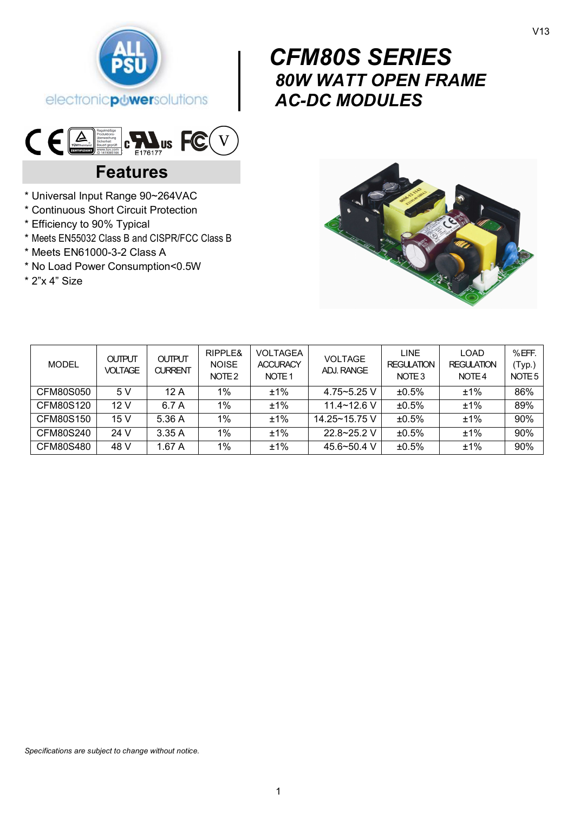

# $\begin{bmatrix} & & C & | & \\ & & g & \\ & & g & \\ & & A & \\ & & A & \\ & & & A \end{bmatrix}$  *CFM80S SERIES 80W WATT OPEN FRAME AC-DC MODULES*



# **Features**

- \* Universal Input Range 90~264VAC
- \* Continuous Short Circuit Protection
- \* Efficiency to 90% Typical
- \* Meets EN55032 Class B and CISPR/FCC Class B
- \* Meets EN61000-3-2 Class A
- \* No Load Power Consumption<0.5W

\* 2"x 4" Size



| <b>MODEL</b> | <b>OUTPUT</b><br><b>VOLTAGE</b> | <b>OUTPUT</b><br><b>CURRENT</b> | RIPPLE&<br><b>NOISE</b><br>NOTE <sub>2</sub> | <b>VOLTAGEA</b><br><b>ACCURACY</b><br>NOTE <sub>1</sub> | <b>VOLTAGE</b><br>ADJ. RANGE | <b>LINE</b><br><b>REGULATION</b><br>NOTE <sub>3</sub> | <b>LOAD</b><br><b>REGULATION</b><br>NOTE 4 | $%$ EFF.<br>(Typ.)<br>NOTE 5 |
|--------------|---------------------------------|---------------------------------|----------------------------------------------|---------------------------------------------------------|------------------------------|-------------------------------------------------------|--------------------------------------------|------------------------------|
| CFM80S050    | 5 V                             | 12 A                            | $1\%$                                        | ±1%                                                     | $4.75 - 5.25$ V              | ±0.5%                                                 | $+1%$                                      | 86%                          |
| CFM80S120    | 12 V                            | 6.7 A                           | $1\%$                                        | ±1%                                                     | $11.4 - 12.6$ V              | ±0.5%                                                 | $+1%$                                      | 89%                          |
| CFM80S150    | 15 V                            | 5.36 A                          | $1\%$                                        | ±1%                                                     | 14.25~15.75 V                | ±0.5%                                                 | $+1%$                                      | 90%                          |
| CFM80S240    | 24 V                            | 3.35A                           | $1\%$                                        | $+1\%$                                                  | $22.8 - 25.2$ V              | ±0.5%                                                 | $+1%$                                      | 90%                          |
| CFM80S480    | 48 V                            | 1.67 A                          | $1\%$                                        | $+1%$                                                   | $45.6 - 50.4$ V              | ±0.5%                                                 | $+1%$                                      | 90%                          |